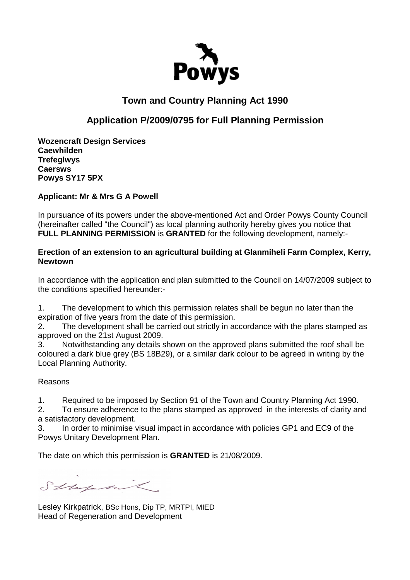

# **Town and Country Planning Act 1990**

## **Application P/2009/0795 for Full Planning Permission**

**Wozencraft Design Services Caewhilden Trefeglwys Caersws Powys SY17 5PX** 

### **Applicant: Mr & Mrs G A Powell**

In pursuance of its powers under the above-mentioned Act and Order Powys County Council (hereinafter called "the Council") as local planning authority hereby gives you notice that **FULL PLANNING PERMISSION** is **GRANTED** for the following development, namely:-

#### **Erection of an extension to an agricultural building at Glanmiheli Farm Complex, Kerry, Newtown**

In accordance with the application and plan submitted to the Council on 14/07/2009 subject to the conditions specified hereunder:-

1. The development to which this permission relates shall be begun no later than the expiration of five years from the date of this permission.

2. The development shall be carried out strictly in accordance with the plans stamped as approved on the 21st August 2009.

3. Notwithstanding any details shown on the approved plans submitted the roof shall be coloured a dark blue grey (BS 18B29), or a similar dark colour to be agreed in writing by the Local Planning Authority.

#### Reasons

1. Required to be imposed by Section 91 of the Town and Country Planning Act 1990.

2. To ensure adherence to the plans stamped as approved in the interests of clarity and a satisfactory development.

3. In order to minimise visual impact in accordance with policies GP1 and EC9 of the Powys Unitary Development Plan.

The date on which this permission is **GRANTED** is 21/08/2009.

Stapatil.

Lesley Kirkpatrick, BSc Hons, Dip TP, MRTPI, MIED Head of Regeneration and Development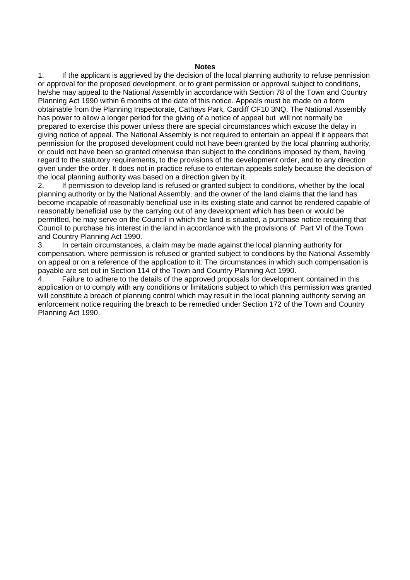#### **Notes**

1. If the applicant is aggrieved by the decision of the local planning authority to refuse permission or approval for the proposed development, or to grant permission or approval subject to conditions, he/she may appeal to the National Assembly in accordance with Section 78 of the Town and Country Planning Act 1990 within 6 months of the date of this notice. Appeals must be made on a form obtainable from the Planning Inspectorate, Cathays Park, Cardiff CF10 3NQ. The National Assembly has power to allow a longer period for the giving of a notice of appeal but will not normally be prepared to exercise this power unless there are special circumstances which excuse the delay in giving notice of appeal. The National Assembly is not required to entertain an appeal if it appears that permission for the proposed development could not have been granted by the local planning authority, or could not have been so granted otherwise than subject to the conditions imposed by them, having regard to the statutory requirements, to the provisions of the development order, and to any direction given under the order. It does not in practice refuse to entertain appeals solely because the decision of the local planning authority was based on a direction given by it.

2. If permission to develop land is refused or granted subject to conditions, whether by the local planning authority or by the National Assembly, and the owner of the land claims that the land has become incapable of reasonably beneficial use in its existing state and cannot be rendered capable of reasonably beneficial use by the carrying out of any development which has been or would be permitted, he may serve on the Council in which the land is situated, a purchase notice requiring that Council to purchase his interest in the land in accordance with the provisions of Part VI of the Town and Country Planning Act 1990.

3. In certain circumstances, a claim may be made against the local planning authority for compensation, where permission is refused or granted subject to conditions by the National Assembly on appeal or on a reference of the application to it. The circumstances in which such compensation is payable are set out in Section 114 of the Town and Country Planning Act 1990.

4. Failure to adhere to the details of the approved proposals for development contained in this application or to comply with any conditions or limitations subject to which this permission was granted will constitute a breach of planning control which may result in the local planning authority serving an enforcement notice requiring the breach to be remedied under Section 172 of the Town and Country Planning Act 1990.